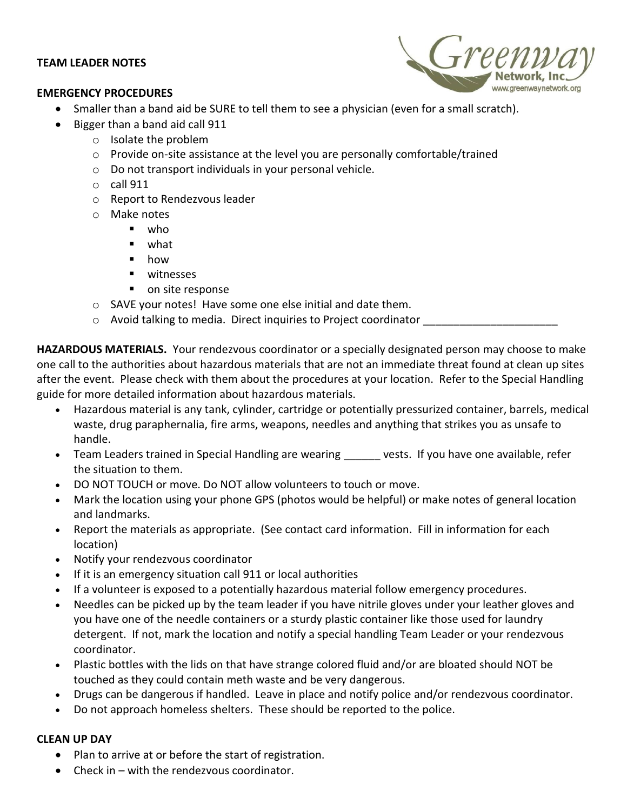## **TEAM LEADER NOTES**

## **EMERGENCY PROCEDURES**



- Smaller than a band aid be SURE to tell them to see a physician (even for a small scratch).
- Bigger than a band aid call 911
	- o Isolate the problem
	- o Provide on-site assistance at the level you are personally comfortable/trained
	- o Do not transport individuals in your personal vehicle.
	- o call 911
	- o Report to Rendezvous leader
	- o Make notes
		- who
		- what
		- how
		- witnesses
		- on site response
	- o SAVE your notes! Have some one else initial and date them.
	- $\circ$  Avoid talking to media. Direct inquiries to Project coordinator

**HAZARDOUS MATERIALS.** Your rendezvous coordinator or a specially designated person may choose to make one call to the authorities about hazardous materials that are not an immediate threat found at clean up sites after the event. Please check with them about the procedures at your location. Refer to the Special Handling guide for more detailed information about hazardous materials.

- Hazardous material is any tank, cylinder, cartridge or potentially pressurized container, barrels, medical waste, drug paraphernalia, fire arms, weapons, needles and anything that strikes you as unsafe to handle.
- Team Leaders trained in Special Handling are wearing \_\_\_\_\_\_ vests. If you have one available, refer the situation to them.
- DO NOT TOUCH or move. Do NOT allow volunteers to touch or move.
- Mark the location using your phone GPS (photos would be helpful) or make notes of general location and landmarks.
- Report the materials as appropriate. (See contact card information. Fill in information for each location)
- Notify your rendezvous coordinator
- If it is an emergency situation call 911 or local authorities
- If a volunteer is exposed to a potentially hazardous material follow emergency procedures.
- Needles can be picked up by the team leader if you have nitrile gloves under your leather gloves and you have one of the needle containers or a sturdy plastic container like those used for laundry detergent. If not, mark the location and notify a special handling Team Leader or your rendezvous coordinator.
- Plastic bottles with the lids on that have strange colored fluid and/or are bloated should NOT be touched as they could contain meth waste and be very dangerous.
- Drugs can be dangerous if handled. Leave in place and notify police and/or rendezvous coordinator.
- Do not approach homeless shelters. These should be reported to the police.

## **CLEAN UP DAY**

- Plan to arrive at or before the start of registration.
- Check in with the rendezvous coordinator.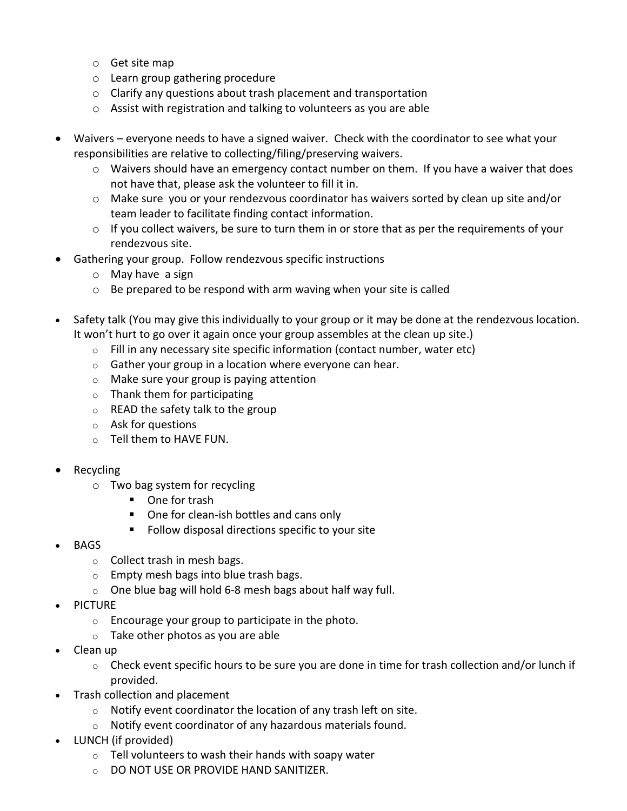- o Get site map
- o Learn group gathering procedure
- o Clarify any questions about trash placement and transportation
- o Assist with registration and talking to volunteers as you are able
- Waivers everyone needs to have a signed waiver. Check with the coordinator to see what your responsibilities are relative to collecting/filing/preserving waivers.
	- o Waivers should have an emergency contact number on them. If you have a waiver that does not have that, please ask the volunteer to fill it in.
	- $\circ$  Make sure you or your rendezvous coordinator has waivers sorted by clean up site and/or team leader to facilitate finding contact information.
	- $\circ$  If you collect waivers, be sure to turn them in or store that as per the requirements of your rendezvous site.
- Gathering your group. Follow rendezvous specific instructions
	- o May have a sign
	- $\circ$  Be prepared to be respond with arm waving when your site is called
- Safety talk (You may give this individually to your group or it may be done at the rendezvous location. It won't hurt to go over it again once your group assembles at the clean up site.)
	- $\circ$  Fill in any necessary site specific information (contact number, water etc)
	- $\circ$  Gather your group in a location where everyone can hear.
	- o Make sure your group is paying attention
	- $\circ$  Thank them for participating
	- $\circ$  READ the safety talk to the group
	- o Ask for questions
	- o Tell them to HAVE FUN.
- Recycling
	- o Two bag system for recycling
		- One for trash
		- One for clean-ish bottles and cans only
		- Follow disposal directions specific to your site
- BAGS
	- o Collect trash in mesh bags.
	- o Empty mesh bags into blue trash bags.
	- $\circ$  One blue bag will hold 6-8 mesh bags about half way full.
- PICTURE
	- $\circ$  Encourage your group to participate in the photo.
	- $\circ$  Take other photos as you are able
- Clean up
	- $\circ$  Check event specific hours to be sure you are done in time for trash collection and/or lunch if provided.
- Trash collection and placement
	- $\circ$  Notify event coordinator the location of any trash left on site.
	- o Notify event coordinator of any hazardous materials found.
- LUNCH (if provided)
	- $\circ$  Tell volunteers to wash their hands with soapy water
	- o DO NOT USE OR PROVIDE HAND SANITIZER.